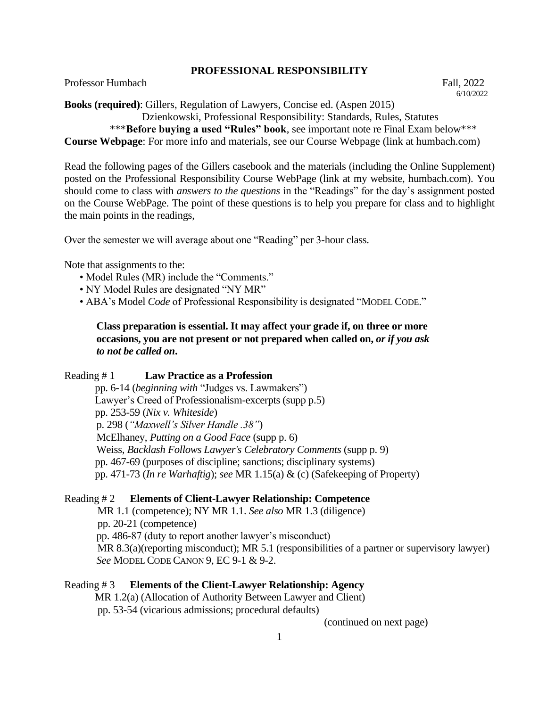## **PROFESSIONAL RESPONSIBILITY**

Professor Humbach **Fall**, 2022

 6/10/2022 **Books (required)**: Gillers, Regulation of Lawyers, Concise ed. (Aspen 2015) Dzienkowski, Professional Responsibility: Standards, Rules, Statutes

\*\*\***Before buying a used "Rules" book**, see important note re Final Exam below\*\*\*

**Course Webpage**: For more info and materials, see our Course Webpage (link at humbach.com)

Read the following pages of the Gillers casebook and the materials (including the Online Supplement) posted on the Professional Responsibility Course WebPage (link at my website, humbach.com). You should come to class with *answers to the questions* in the "Readings" for the day's assignment posted on the Course WebPage. The point of these questions is to help you prepare for class and to highlight the main points in the readings,

Over the semester we will average about one "Reading" per 3-hour class.

Note that assignments to the:

- Model Rules (MR) include the "Comments."
- NY Model Rules are designated "NY MR"
- ABA's Model *Code* of Professional Responsibility is designated "MODEL CODE."

# **Class preparation is essential. It may affect your grade if, on three or more occasions, you are not present or not prepared when called on,** *or if you ask to not be called on***.**

# Reading # 1 **Law Practice as a Profession**

 pp. 6-14 (*beginning with* "Judges vs. Lawmakers") Lawyer's Creed of Professionalism-excerpts (supp p.5) pp. 253-59 (*Nix v. Whiteside*) p. 298 (*"Maxwell's Silver Handle .38"*) McElhaney, *Putting on a Good Face* (supp p. 6) Weiss, *Backlash Follows Lawyer's Celebratory Comments* (supp p. 9) pp. 467-69 (purposes of discipline; sanctions; disciplinary systems) pp. 471-73 (*In re Warhaftig*); *see* MR 1.15(a) & (c) (Safekeeping of Property)

# Reading # 2 **Elements of Client-Lawyer Relationship: Competence**

 MR 1.1 (competence); NY MR 1.1. *See also* MR 1.3 (diligence) pp. 20-21 (competence) pp. 486-87 (duty to report another lawyer's misconduct) MR 8.3(a)(reporting misconduct); MR 5.1 (responsibilities of a partner or supervisory lawyer) *See* MODEL CODE CANON 9, EC 9-1 & 9-2.

Reading # 3 **Elements of the Client-Lawyer Relationship: Agency**  MR 1.2(a) (Allocation of Authority Between Lawyer and Client) pp. 53-54 (vicarious admissions; procedural defaults)

(continued on next page)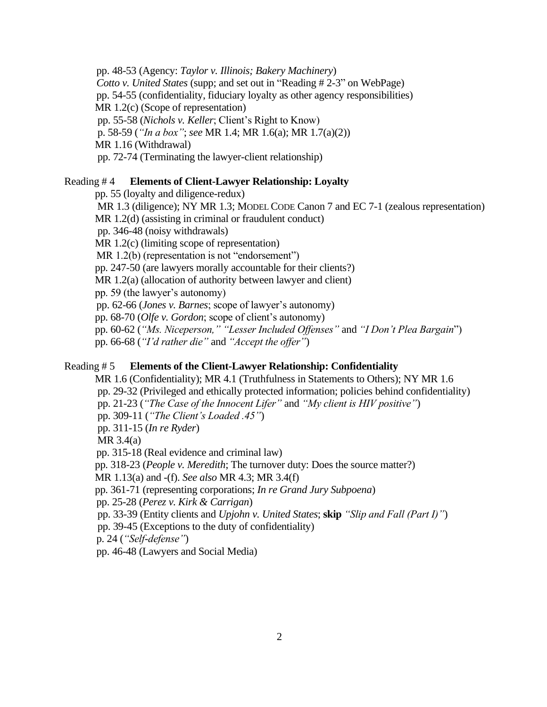pp. 48-53 (Agency: *Taylor v. Illinois; Bakery Machinery*) *Cotto v. United States* (supp; and set out in "Reading # 2-3" on WebPage) pp. 54-55 (confidentiality, fiduciary loyalty as other agency responsibilities) MR 1.2(c) (Scope of representation) pp. 55-58 (*Nichols v. Keller*; Client's Right to Know) p. 58-59 (*"In a box"*; *see* MR 1.4; MR 1.6(a); MR 1.7(a)(2)) MR 1.16 (Withdrawal) pp. 72-74 (Terminating the lawyer-client relationship)

## Reading # 4 **Elements of Client-Lawyer Relationship: Loyalty**

pp. 55 (loyalty and diligence-redux)

MR 1.3 (diligence); NY MR 1.3; MODEL CODE Canon 7 and EC 7-1 (zealous representation) MR 1.2(d) (assisting in criminal or fraudulent conduct) pp. 346-48 (noisy withdrawals) MR 1.2(c) (limiting scope of representation)

MR 1.2(b) (representation is not "endorsement")

pp. 247-50 (are lawyers morally accountable for their clients?)

MR 1.2(a) (allocation of authority between lawyer and client)

pp. 59 (the lawyer's autonomy)

pp. 62-66 (*Jones v. Barnes*; scope of lawyer's autonomy)

pp. 68-70 (*Olfe v. Gordon*; scope of client's autonomy)

pp. 60-62 (*"Ms. Niceperson," "Lesser Included Offenses"* and *"I Don't Plea Bargain*")

pp. 66-68 (*"I'd rather die"* and *"Accept the offer"*)

## Reading # 5 **Elements of the Client-Lawyer Relationship: Confidentiality**

 MR 1.6 (Confidentiality); MR 4.1 (Truthfulness in Statements to Others); NY MR 1.6 pp. 29-32 (Privileged and ethically protected information; policies behind confidentiality) pp. 21-23 (*"The Case of the Innocent Lifer"* and *"My client is HIV positive"*) pp. 309-11 (*"The Client's Loaded .45"*) pp. 311-15 (*In re Ryder*) MR 3.4(a) pp. 315-18 (Real evidence and criminal law) pp. 318-23 (*People v. Meredith*; The turnover duty: Does the source matter?) MR 1.13(a) and -(f). *See also* MR 4.3; MR 3.4(f) pp. 361-71 (representing corporations; *In re Grand Jury Subpoena*) pp. 25-28 (*Perez v. Kirk & Carrigan*) pp. 33-39 (Entity clients and *Upjohn v. United States*; **skip** *"Slip and Fall (Part I)"*) pp. 39-45 (Exceptions to the duty of confidentiality)

p. 24 (*"Self-defense"*)

pp. 46-48 (Lawyers and Social Media)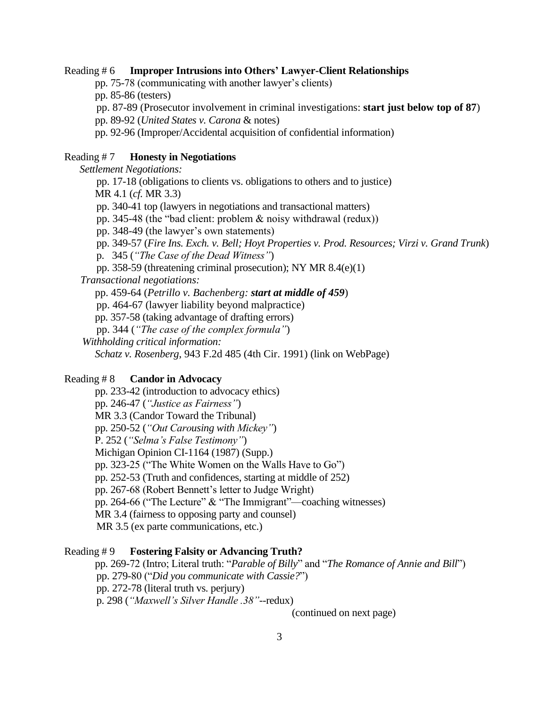## Reading # 6 **Improper Intrusions into Others' Lawyer-Client Relationships**

pp. 75-78 (communicating with another lawyer's clients)

pp. 85-86 (testers)

pp. 87-89 (Prosecutor involvement in criminal investigations: **start just below top of 87**)

pp. 89-92 (*United States v. Carona* & notes)

pp. 92-96 (Improper/Accidental acquisition of confidential information)

## Reading # 7 **Honesty in Negotiations**

 *Settlement Negotiations:* pp. 17-18 (obligations to clients vs. obligations to others and to justice) MR 4.1 (*cf.* MR 3.3) pp. 340-41 top (lawyers in negotiations and transactional matters) pp. 345-48 (the "bad client: problem & noisy withdrawal (redux)) pp. 348-49 (the lawyer's own statements) pp. 349-57 (*Fire Ins. Exch. v. Bell; Hoyt Properties v. Prod. Resources; Virzi v. Grand Trunk*) p. 345 (*"The Case of the Dead Witness"*) pp. 358-59 (threatening criminal prosecution); NY MR 8.4(e)(1) *Transactional negotiations:* pp. 459-64 (*Petrillo v. Bachenberg: start at middle of 459*) pp. 464-67 (lawyer liability beyond malpractice) pp. 357-58 (taking advantage of drafting errors) pp. 344 (*"The case of the complex formula"*) *Withholding critical information: Schatz v. Rosenberg*, 943 F.2d 485 (4th Cir. 1991) (link on WebPage)

## Reading # 8 **Candor in Advocacy**

 pp. 233-42 (introduction to advocacy ethics) pp. 246-47 (*"Justice as Fairness"*) MR 3.3 (Candor Toward the Tribunal) pp. 250-52 (*"Out Carousing with Mickey"*) P. 252 (*"Selma's False Testimony"*) Michigan Opinion CI-1164 (1987) (Supp.) pp. 323-25 ("The White Women on the Walls Have to Go") pp. 252-53 (Truth and confidences, starting at middle of 252) pp. 267-68 (Robert Bennett's letter to Judge Wright) pp. 264-66 ("The Lecture" & "The Immigrant"—coaching witnesses) MR 3.4 (fairness to opposing party and counsel) MR 3.5 (ex parte communications, etc.)

#### Reading # 9 **Fostering Falsity or Advancing Truth?**

 pp. 269-72 (Intro; Literal truth: "*Parable of Billy*" and "*The Romance of Annie and Bill*") pp. 279-80 ("*Did you communicate with Cassie?*") pp. 272-78 (literal truth vs. perjury) p. 298 (*"Maxwell's Silver Handle .38"*--redux)

(continued on next page)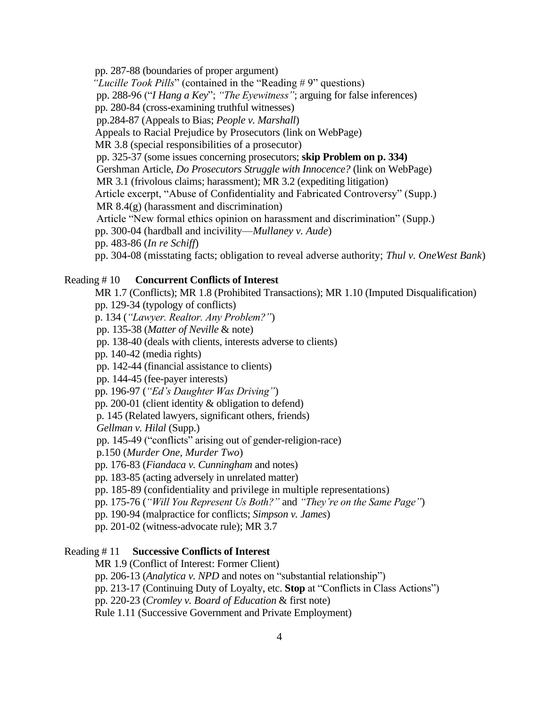pp. 287-88 (boundaries of proper argument) *"Lucille Took Pills*" (contained in the "Reading # 9" questions) pp. 288-96 ("*I Hang a Key*"; *"The Eyewitness"*; arguing for false inferences) pp. 280-84 (cross-examining truthful witnesses) pp.284-87 (Appeals to Bias; *People v. Marshall*) Appeals to Racial Prejudice by Prosecutors (link on WebPage) MR 3.8 (special responsibilities of a prosecutor) pp. 325-37 (some issues concerning prosecutors; **skip Problem on p. 334)** Gershman Article, *Do Prosecutors Struggle with Innocence?* (link on WebPage) MR 3.1 (frivolous claims; harassment); MR 3.2 (expediting litigation) Article excerpt, "Abuse of Confidentiality and Fabricated Controversy" (Supp.) MR 8.4(g) (harassment and discrimination) Article "New formal ethics opinion on harassment and discrimination" (Supp.) pp. 300-04 (hardball and incivility—*Mullaney v. Aude*) pp. 483-86 (*In re Schiff*) pp. 304-08 (misstating facts; obligation to reveal adverse authority; *Thul v. OneWest Bank*)

## Reading # 10 **Concurrent Conflicts of Interest**

 MR 1.7 (Conflicts); MR 1.8 (Prohibited Transactions); MR 1.10 (Imputed Disqualification) pp. 129-34 (typology of conflicts) p. 134 (*"Lawyer. Realtor. Any Problem?"*) pp. 135-38 (*Matter of Neville* & note) pp. 138-40 (deals with clients, interests adverse to clients) pp. 140-42 (media rights) pp. 142-44 (financial assistance to clients) pp. 144-45 (fee-payer interests) pp. 196-97 (*"Ed's Daughter Was Driving"*) pp. 200-01 (client identity & obligation to defend) p. 145 (Related lawyers, significant others, friends) *Gellman v. Hilal* (Supp.) pp. 145-49 ("conflicts" arising out of gender-religion-race) p.150 (*Murder One, Murder Two*) pp. 176-83 (*Fiandaca v. Cunningham* and notes) pp. 183-85 (acting adversely in unrelated matter) pp. 185-89 (confidentiality and privilege in multiple representations) pp. 175-76 (*"Will You Represent Us Both?"* and *"They're on the Same Page"*) pp. 190-94 (malpractice for conflicts; *Simpson v. James*) pp. 201-02 (witness-advocate rule); MR 3.7

### Reading # 11 **Successive Conflicts of Interest**

MR 1.9 (Conflict of Interest: Former Client)

pp. 206-13 (*Analytica v. NPD* and notes on "substantial relationship")

pp. 213-17 (Continuing Duty of Loyalty, etc. **Stop** at "Conflicts in Class Actions")

pp. 220-23 (*Cromley v. Board of Education* & first note)

Rule 1.11 (Successive Government and Private Employment)